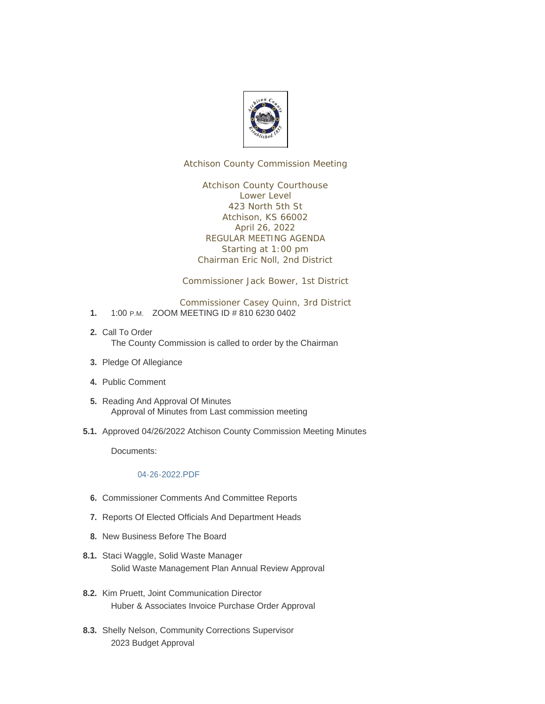

Atchison County Commission Meeting

Atchison County Courthouse Lower Level 423 North 5th St Atchison, KS 66002 April 26, 2022 REGULAR MEETING AGENDA Starting at 1:00 pm Chairman Eric Noll, 2nd District

Commissioner Jack Bower, 1st District

Commissioner Casey Quinn, 3rd District

- 1. 1:00 P.M. ZOOM MEETING ID # 810 6230 0402
- 2. Call To Order The County Commission is called to order by the Chairman
- 3. Pledge Of Allegiance
- Public Comment **4.**
- 5. Reading And Approval Of Minutes Approval of Minutes from Last commission meeting
- 5.1. Approved 04/26/2022 Atchison County Commission Meeting Minutes

Documents:

## [04-26-2022.PDF](http://www.atchisoncountyks.org/AgendaCenter/ViewFile/Item/10544?fileID=1756)

- **6.** Commissioner Comments And Committee Reports
- 7. Reports Of Elected Officials And Department Heads
- 8. New Business Before The Board
- 8.1. Staci Waggle, Solid Waste Manager Solid Waste Management Plan Annual Review Approval
- 8.2. Kim Pruett, Joint Communication Director Huber & Associates Invoice Purchase Order Approval
- 8.3. Shelly Nelson, Community Corrections Supervisor 2023 Budget Approval